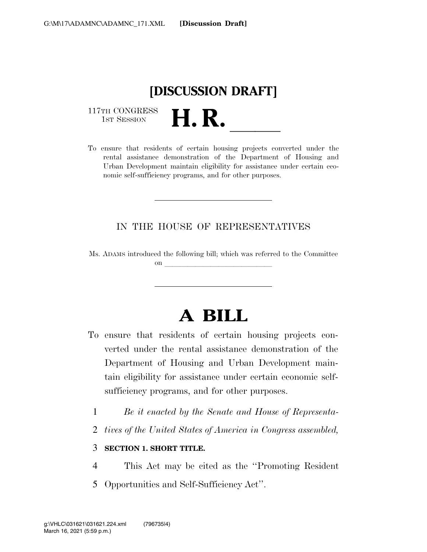# **[DISCUSSION DRAFT]**

117TH CONGRESS<br>1st Session

117TH CONGRESS<br>1st SESSION<br>To ensure that residents of certain housing projects converted under the rental assistance demonstration of the Department of Housing and Urban Development maintain eligibility for assistance under certain economic self-sufficiency programs, and for other purposes.

#### IN THE HOUSE OF REPRESENTATIVES

Ms. ADAMS introduced the following bill; which was referred to the Committee  $\mathbf{on}$ 

# **A BILL**

- To ensure that residents of certain housing projects converted under the rental assistance demonstration of the Department of Housing and Urban Development maintain eligibility for assistance under certain economic selfsufficiency programs, and for other purposes.
	- 1 *Be it enacted by the Senate and House of Representa-*
	- 2 *tives of the United States of America in Congress assembled,*

#### 3 **SECTION 1. SHORT TITLE.**

- 4 This Act may be cited as the ''Promoting Resident
- 5 Opportunities and Self-Sufficiency Act''.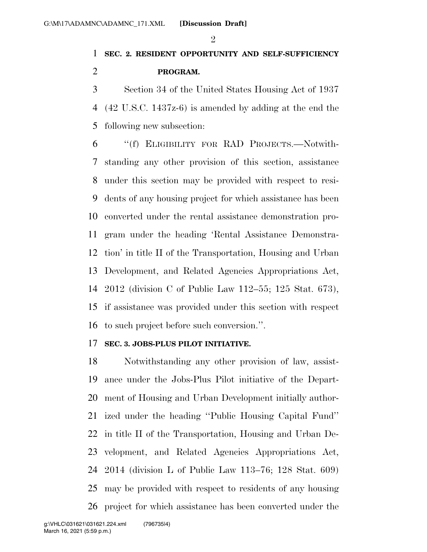### **SEC. 2. RESIDENT OPPORTUNITY AND SELF-SUFFICIENCY PROGRAM.**

 Section 34 of the United States Housing Act of 1937 (42 U.S.C. 1437z-6) is amended by adding at the end the following new subsection:

 ''(f) ELIGIBILITY FOR RAD PROJECTS.—Notwith- standing any other provision of this section, assistance under this section may be provided with respect to resi- dents of any housing project for which assistance has been converted under the rental assistance demonstration pro- gram under the heading 'Rental Assistance Demonstra- tion' in title II of the Transportation, Housing and Urban Development, and Related Agencies Appropriations Act, 2012 (division C of Public Law 112–55; 125 Stat. 673), if assistance was provided under this section with respect to such project before such conversion.''.

#### **SEC. 3. JOBS-PLUS PILOT INITIATIVE.**

 Notwithstanding any other provision of law, assist- ance under the Jobs-Plus Pilot initiative of the Depart- ment of Housing and Urban Development initially author- ized under the heading ''Public Housing Capital Fund'' in title II of the Transportation, Housing and Urban De- velopment, and Related Agencies Appropriations Act, 2014 (division L of Public Law 113–76; 128 Stat. 609) may be provided with respect to residents of any housing project for which assistance has been converted under the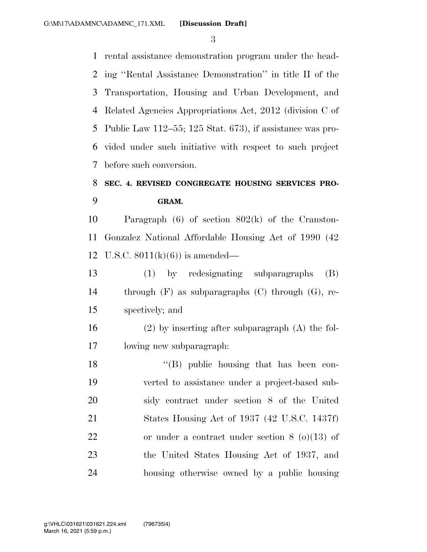rental assistance demonstration program under the head- ing ''Rental Assistance Demonstration'' in title II of the Transportation, Housing and Urban Development, and Related Agencies Appropriations Act, 2012 (division C of Public Law 112–55; 125 Stat. 673), if assistance was pro- vided under such initiative with respect to such project before such conversion.

### **SEC. 4. REVISED CONGREGATE HOUSING SERVICES PRO-GRAM.**

 Paragraph (6) of section 802(k) of the Cranston- Gonzalez National Affordable Housing Act of 1990 (42 12 U.S.C.  $8011(k)(6)$  is amended—

 (1) by redesignating subparagraphs (B) through (F) as subparagraphs (C) through (G), re-spectively; and

 (2) by inserting after subparagraph (A) the fol-lowing new subparagraph:

18 ''(B) public housing that has been con- verted to assistance under a project-based sub- sidy contract under section 8 of the United States Housing Act of 1937 (42 U.S.C. 1437f) or under a contract under section 8 (o)(13) of the United States Housing Act of 1937, and housing otherwise owned by a public housing